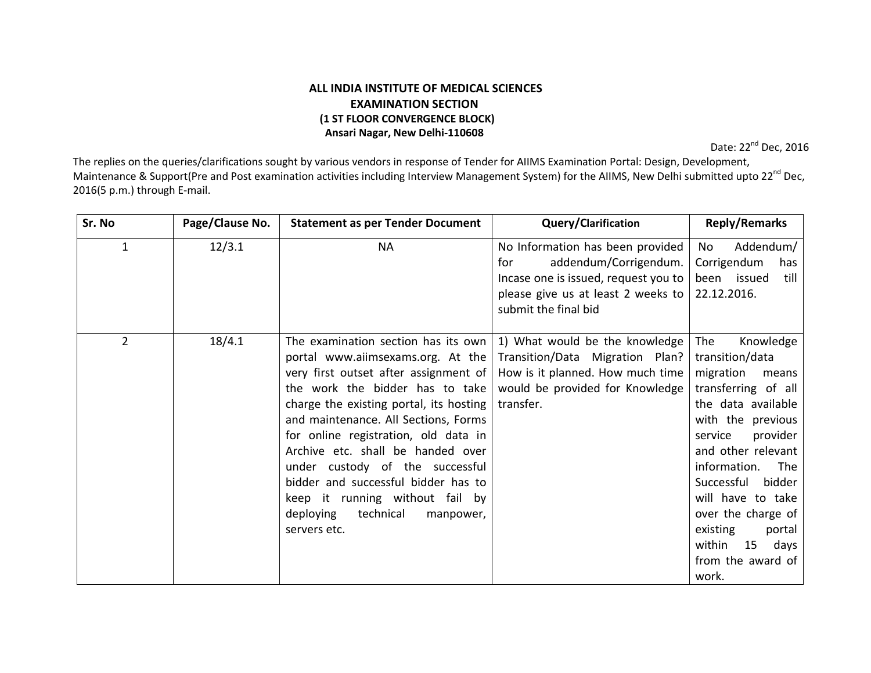## ALL INDIA INSTITUTE OF MEDICAL SCIENCES EXAMINATION SECTION (1 ST FLOOR CONVERGENCE BLOCK) Ansari Nagar, New Delhi-110608

Date: 22<sup>nd</sup> Dec, 2016

The replies on the queries/clarifications sought by various vendors in response of Tender for AIIMS Examination Portal: Design, Development, Maintenance & Support(Pre and Post examination activities including Interview Management System) for the AIIMS, New Delhi submitted upto 22<sup>nd</sup> Dec, 2016(5 p.m.) through E-mail.

| Sr. No         | Page/Clause No. | <b>Statement as per Tender Document</b>                                                                                                                                                                                                                                                                                                                                                                                                                                                  | <b>Query/Clarification</b>                                                                                                                                             | <b>Reply/Remarks</b>                                                                                                                                                                                                                                                                                                                           |
|----------------|-----------------|------------------------------------------------------------------------------------------------------------------------------------------------------------------------------------------------------------------------------------------------------------------------------------------------------------------------------------------------------------------------------------------------------------------------------------------------------------------------------------------|------------------------------------------------------------------------------------------------------------------------------------------------------------------------|------------------------------------------------------------------------------------------------------------------------------------------------------------------------------------------------------------------------------------------------------------------------------------------------------------------------------------------------|
| 1              | 12/3.1          | <b>NA</b>                                                                                                                                                                                                                                                                                                                                                                                                                                                                                | No Information has been provided<br>addendum/Corrigendum.<br>for<br>Incase one is issued, request you to<br>please give us at least 2 weeks to<br>submit the final bid | Addendum/<br>No<br>Corrigendum<br>has<br>issued<br>till<br>been<br>22.12.2016.                                                                                                                                                                                                                                                                 |
| $\overline{2}$ | 18/4.1          | The examination section has its own<br>portal www.aiimsexams.org. At the<br>very first outset after assignment of<br>the work the bidder has to take<br>charge the existing portal, its hosting<br>and maintenance. All Sections, Forms<br>for online registration, old data in<br>Archive etc. shall be handed over<br>under custody of the successful<br>bidder and successful bidder has to<br>keep it running without fail by<br>technical<br>deploying<br>manpower,<br>servers etc. | 1) What would be the knowledge<br>Transition/Data Migration Plan?<br>How is it planned. How much time<br>would be provided for Knowledge<br>transfer.                  | Knowledge<br>The<br>transition/data<br>migration<br>means<br>transferring of all<br>the data available<br>with the previous<br>provider<br>service<br>and other relevant<br>information.<br>The<br>Successful<br>bidder<br>will have to take<br>over the charge of<br>existing<br>portal<br>within<br>15<br>days<br>from the award of<br>work. |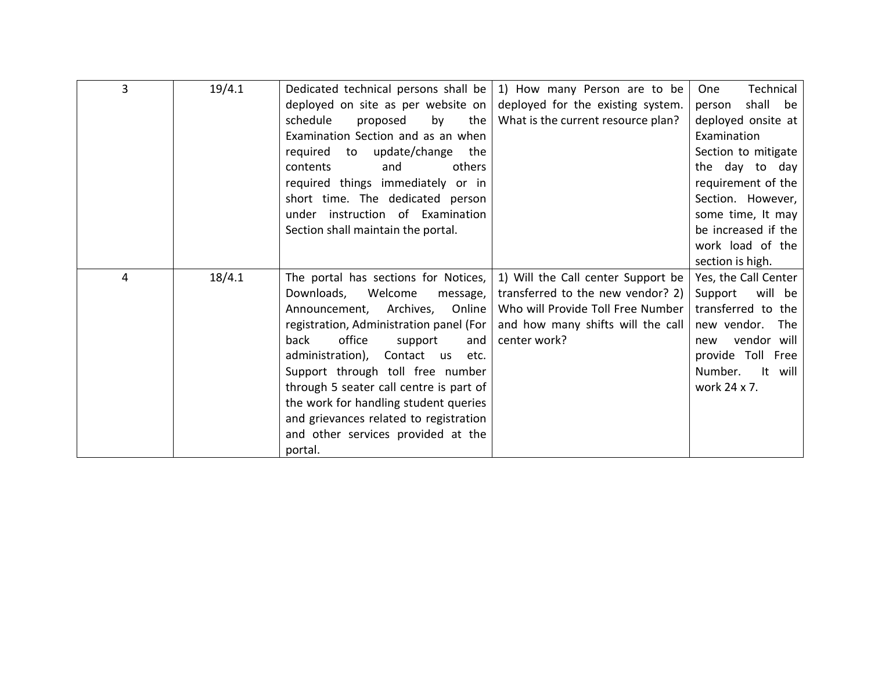| $\overline{3}$ |        |                                                                           |                                    |                      |
|----------------|--------|---------------------------------------------------------------------------|------------------------------------|----------------------|
|                | 19/4.1 | Dedicated technical persons shall be $\vert$ 1) How many Person are to be |                                    | Technical<br>One     |
|                |        | deployed on site as per website on $ $                                    | deployed for the existing system.  | shall be<br>person   |
|                |        | schedule<br>proposed<br>by<br>the                                         | What is the current resource plan? | deployed onsite at   |
|                |        | Examination Section and as an when                                        |                                    | Examination          |
|                |        | to update/change<br>required<br>the                                       |                                    | Section to mitigate  |
|                |        | others<br>contents<br>and                                                 |                                    | the day to day       |
|                |        | required things immediately or in                                         |                                    | requirement of the   |
|                |        | short time. The dedicated person                                          |                                    | Section. However,    |
|                |        | instruction of Examination<br>under                                       |                                    | some time, It may    |
|                |        | Section shall maintain the portal.                                        |                                    | be increased if the  |
|                |        |                                                                           |                                    | work load of the     |
|                |        |                                                                           |                                    | section is high.     |
| 4              | 18/4.1 | The portal has sections for Notices,                                      | 1) Will the Call center Support be | Yes, the Call Center |
|                |        | Downloads,<br>Welcome<br>message, $ $                                     | transferred to the new vendor? 2)  | will be<br>Support   |
|                |        | Archives,<br>Online  <br>Announcement,                                    | Who will Provide Toll Free Number  | transferred to the   |
|                |        | registration, Administration panel (For                                   | and how many shifts will the call  | new vendor.<br>The   |
|                |        | office<br>back<br>support<br>and                                          | center work?                       | vendor will<br>new   |
|                |        | administration),<br>Contact<br><b>US</b><br>etc.                          |                                    | provide Toll Free    |
|                |        | Support through toll free number                                          |                                    | It will<br>Number.   |
|                |        | through 5 seater call centre is part of                                   |                                    | work 24 x 7.         |
|                |        | the work for handling student queries                                     |                                    |                      |
|                |        | and grievances related to registration                                    |                                    |                      |
|                |        | and other services provided at the                                        |                                    |                      |
|                |        | portal.                                                                   |                                    |                      |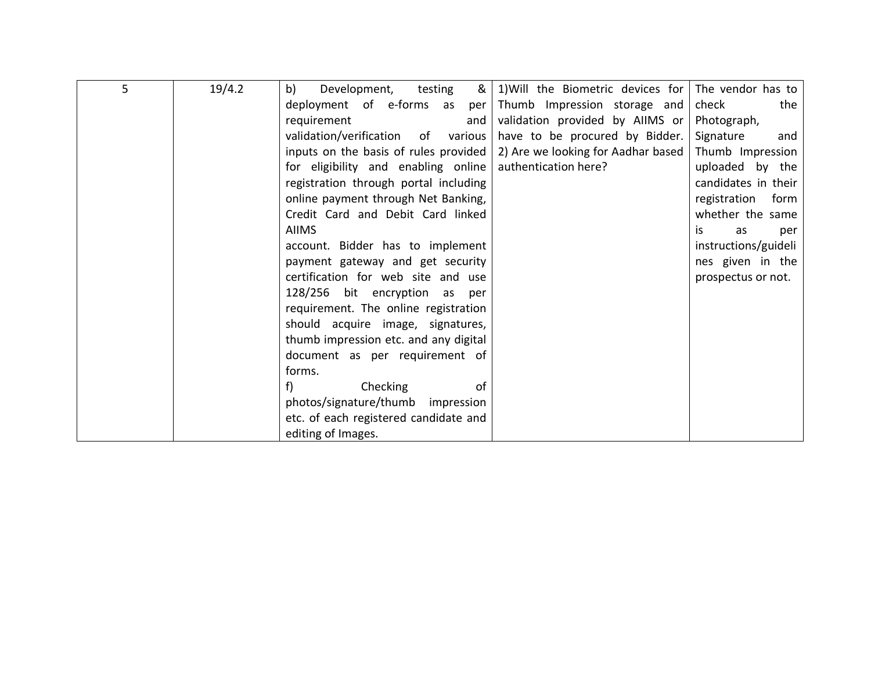| 5 | 19/4.2 | &<br>testing<br>b)<br>Development,    | 1) Will the Biometric devices for The vendor has to |                      |
|---|--------|---------------------------------------|-----------------------------------------------------|----------------------|
|   |        | deployment of e-forms as<br>per       | Thumb Impression storage and                        | check<br>the         |
|   |        | requirement<br>and                    | validation provided by AllMS or Photograph,         |                      |
|   |        | validation/verification of various    | have to be procured by Bidder.                      | Signature<br>and     |
|   |        | inputs on the basis of rules provided | 2) Are we looking for Aadhar based                  | Thumb Impression     |
|   |        | for eligibility and enabling online   | authentication here?                                | uploaded by the      |
|   |        | registration through portal including |                                                     | candidates in their  |
|   |        | online payment through Net Banking,   |                                                     | registration<br>form |
|   |        | Credit Card and Debit Card linked     |                                                     | whether the same     |
|   |        | <b>AIIMS</b>                          |                                                     | is.<br>as<br>per     |
|   |        | account. Bidder has to implement      |                                                     | instructions/guideli |
|   |        | payment gateway and get security      |                                                     | nes given in the     |
|   |        | certification for web site and use    |                                                     | prospectus or not.   |
|   |        | 128/256 bit encryption as<br>per      |                                                     |                      |
|   |        | requirement. The online registration  |                                                     |                      |
|   |        | should acquire image, signatures,     |                                                     |                      |
|   |        | thumb impression etc. and any digital |                                                     |                      |
|   |        | document as per requirement of        |                                                     |                      |
|   |        | forms.                                |                                                     |                      |
|   |        | Checking<br>f<br>οf                   |                                                     |                      |
|   |        | photos/signature/thumb<br>impression  |                                                     |                      |
|   |        | etc. of each registered candidate and |                                                     |                      |
|   |        | editing of Images.                    |                                                     |                      |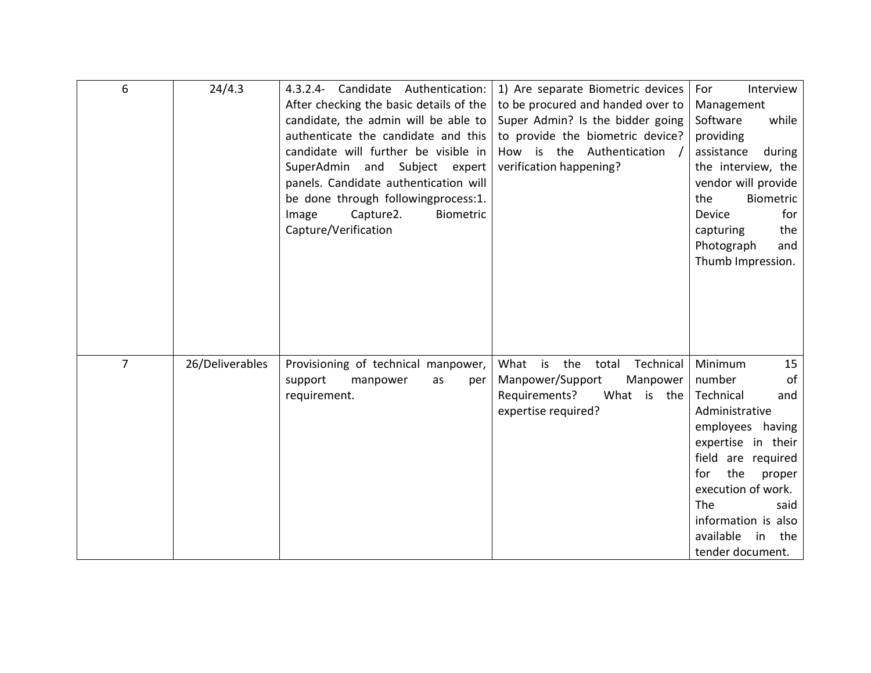| 6              | 24/4.3          | 4.3.2.4- Candidate Authentication:<br>After checking the basic details of the<br>candidate, the admin will be able to<br>authenticate the candidate and this<br>candidate will further be visible in<br>SuperAdmin and Subject expert<br>panels. Candidate authentication will<br>be done through followingprocess:1.<br>Capture2.<br>Biometric<br>Image<br>Capture/Verification | 1) Are separate Biometric devices<br>to be procured and handed over to<br>Super Admin? Is the bidder going<br>to provide the biometric device?<br>How is the Authentication /<br>verification happening? | For<br>Interview<br>Management<br>Software<br>while<br>providing<br>assistance<br>during<br>the interview, the<br>vendor will provide<br>the<br>Biometric<br>for<br>Device<br>the<br>capturing<br>Photograph<br>and<br>Thumb Impression.                                 |
|----------------|-----------------|----------------------------------------------------------------------------------------------------------------------------------------------------------------------------------------------------------------------------------------------------------------------------------------------------------------------------------------------------------------------------------|----------------------------------------------------------------------------------------------------------------------------------------------------------------------------------------------------------|--------------------------------------------------------------------------------------------------------------------------------------------------------------------------------------------------------------------------------------------------------------------------|
| $\overline{7}$ | 26/Deliverables | Provisioning of technical manpower,<br>support<br>manpower<br>as<br>per<br>requirement.                                                                                                                                                                                                                                                                                          | What is<br>the<br>Technical<br>total<br>Manpower/Support<br>Manpower<br>Requirements?<br>What is the<br>expertise required?                                                                              | Minimum<br>15<br>number<br>of<br>Technical<br>and<br>Administrative<br>having<br>employees<br>expertise in their<br>field are required<br>the<br>for<br>proper<br>execution of work.<br>The<br>said<br>information is also<br>available<br>in<br>the<br>tender document. |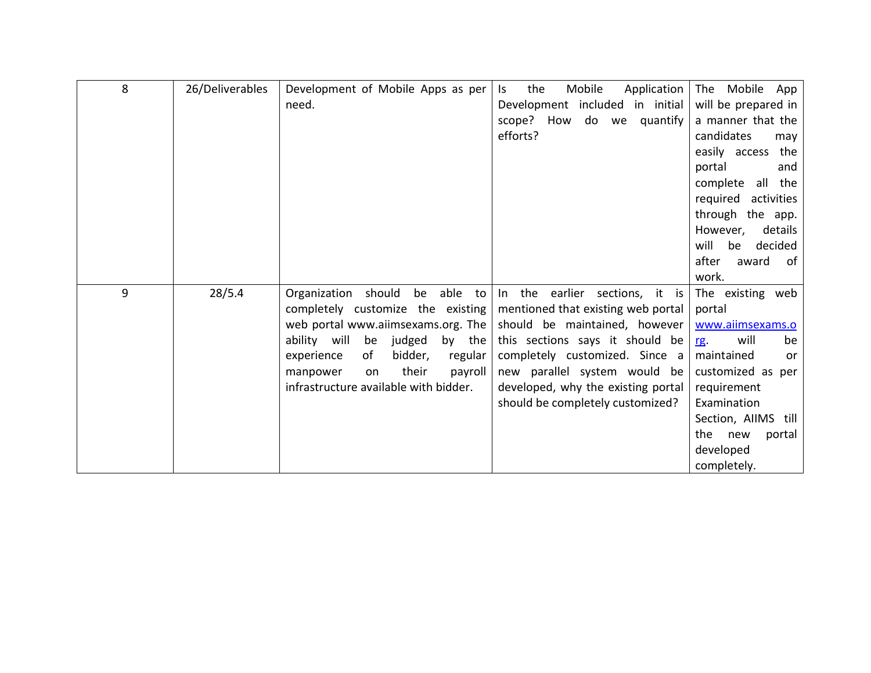| 8 | 26/Deliverables | Development of Mobile Apps as per      | the<br>Mobile<br>Application<br>ls. | The Mobile App         |
|---|-----------------|----------------------------------------|-------------------------------------|------------------------|
|   |                 | need.                                  | Development included in initial     | will be prepared in    |
|   |                 |                                        |                                     |                        |
|   |                 |                                        | scope? How<br>do we<br>quantify     | a manner that the      |
|   |                 |                                        | efforts?                            | candidates<br>may      |
|   |                 |                                        |                                     | easily access<br>the   |
|   |                 |                                        |                                     | portal<br>and          |
|   |                 |                                        |                                     | all the<br>complete    |
|   |                 |                                        |                                     | required<br>activities |
|   |                 |                                        |                                     | through the app.       |
|   |                 |                                        |                                     | details<br>However,    |
|   |                 |                                        |                                     | will<br>decided<br>be  |
|   |                 |                                        |                                     | after<br>of<br>award   |
|   |                 |                                        |                                     | work.                  |
| 9 | 28/5.4          | should<br>be able to<br>Organization   | In the earlier sections, it is      | The existing web       |
|   |                 | completely customize the existing      | mentioned that existing web portal  | portal                 |
|   |                 | web portal www.aiimsexams.org. The     | should be maintained, however       | www.aiimsexams.o       |
|   |                 | ability will<br>be<br>judged<br>by the | this sections says it should be     | will<br>be             |
|   |                 |                                        |                                     | <u>rg</u>              |
|   |                 | bidder,<br>experience<br>of<br>regular | completely customized. Since a      | maintained<br>or       |
|   |                 | their<br>payroll<br>manpower<br>on     | new parallel system would be        | customized as per      |
|   |                 | infrastructure available with bidder.  | developed, why the existing portal  | requirement            |
|   |                 |                                        | should be completely customized?    | Examination            |
|   |                 |                                        |                                     | Section, AIIMS till    |
|   |                 |                                        |                                     | the new<br>portal      |
|   |                 |                                        |                                     | developed              |
|   |                 |                                        |                                     | completely.            |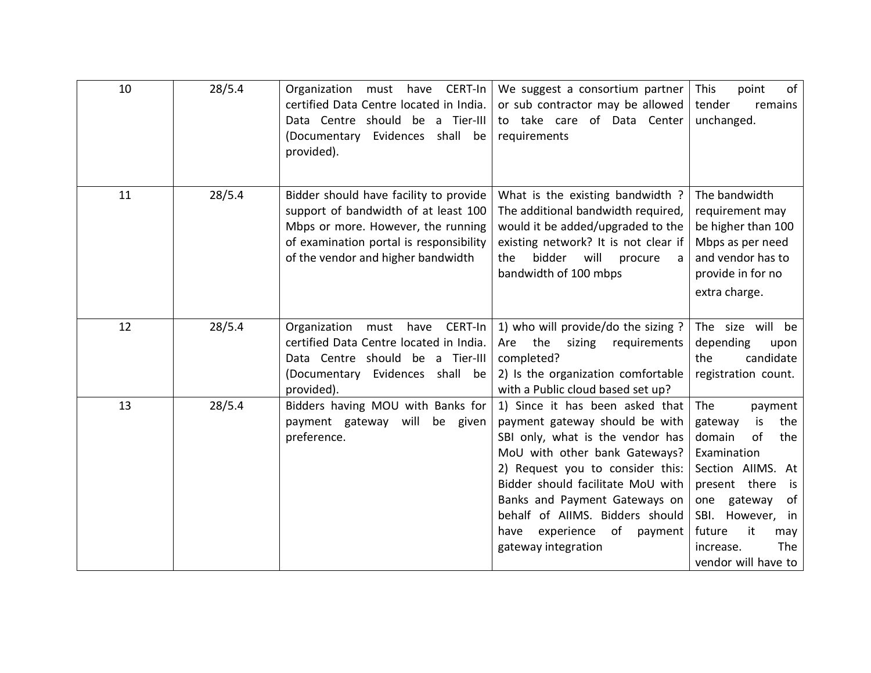| 10 | 28/5.4 | have CERT-In<br>Organization<br>must<br>certified Data Centre located in India.<br>Data Centre should be a Tier-III<br>(Documentary Evidences<br>shall be<br>provided).                               | We suggest a consortium partner<br>or sub contractor may be allowed<br>to take care of Data Center<br>requirements                                                                                                                                                                                                                                | This<br>point<br>of<br>tender<br>remains<br>unchanged.                                                                                                                                                                                    |
|----|--------|-------------------------------------------------------------------------------------------------------------------------------------------------------------------------------------------------------|---------------------------------------------------------------------------------------------------------------------------------------------------------------------------------------------------------------------------------------------------------------------------------------------------------------------------------------------------|-------------------------------------------------------------------------------------------------------------------------------------------------------------------------------------------------------------------------------------------|
| 11 | 28/5.4 | Bidder should have facility to provide<br>support of bandwidth of at least 100<br>Mbps or more. However, the running<br>of examination portal is responsibility<br>of the vendor and higher bandwidth | What is the existing bandwidth ?<br>The additional bandwidth required,<br>would it be added/upgraded to the<br>existing network? It is not clear if<br>bidder<br>will<br>the<br>procure<br>a<br>bandwidth of 100 mbps                                                                                                                             | The bandwidth<br>requirement may<br>be higher than 100<br>Mbps as per need<br>and vendor has to<br>provide in for no<br>extra charge.                                                                                                     |
| 12 | 28/5.4 | CERT-In<br>Organization<br>must<br>have<br>certified Data Centre located in India.<br>Data Centre should be a Tier-III<br>(Documentary Evidences shall be<br>provided).                               | 1) who will provide/do the sizing?<br>the<br>Are<br>sizing<br>requirements<br>completed?<br>2) Is the organization comfortable<br>with a Public cloud based set up?                                                                                                                                                                               | The size will be<br>depending<br>upon<br>candidate<br>the<br>registration count.                                                                                                                                                          |
| 13 | 28/5.4 | Bidders having MOU with Banks for<br>payment gateway will be given<br>preference.                                                                                                                     | 1) Since it has been asked that<br>payment gateway should be with<br>SBI only, what is the vendor has<br>MoU with other bank Gateways?<br>2) Request you to consider this:<br>Bidder should facilitate MoU with<br>Banks and Payment Gateways on<br>behalf of AIIMS. Bidders should<br>experience<br>of<br>payment<br>have<br>gateway integration | The<br>payment<br>gateway<br>the<br>is<br>domain<br>of<br>the<br>Examination<br>Section AllMS. At<br>present there<br>is<br>gateway<br>of<br>one<br>SBI. However,<br>in<br>future<br>it<br>may<br>The<br>increase.<br>vendor will have to |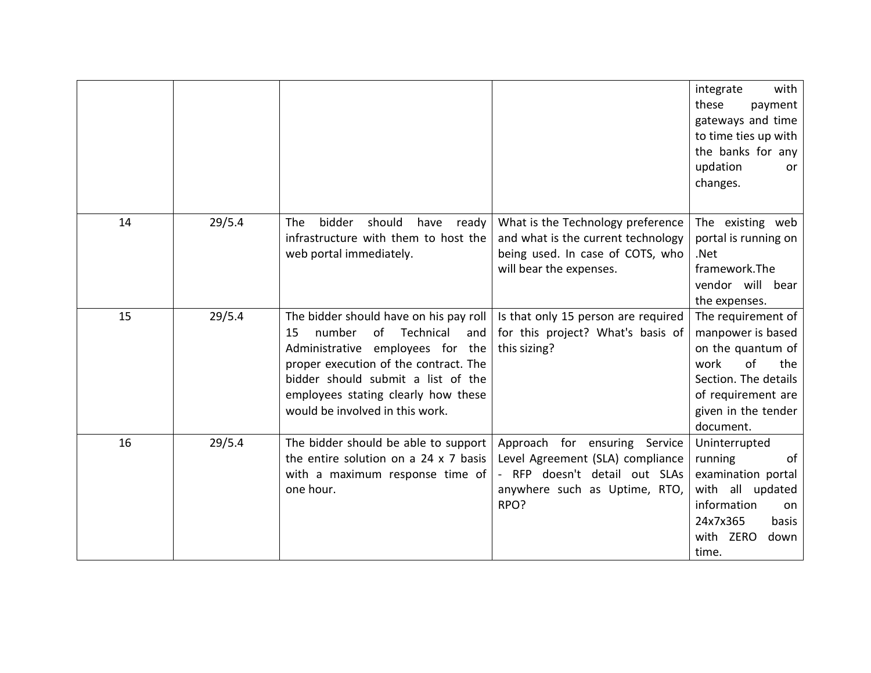|    |        |                                                                                                                                                                                                                                                                               |                                                                                                                                             | integrate<br>with<br>these<br>payment<br>gateways and time<br>to time ties up with<br>the banks for any<br>updation<br>or<br>changes.                               |
|----|--------|-------------------------------------------------------------------------------------------------------------------------------------------------------------------------------------------------------------------------------------------------------------------------------|---------------------------------------------------------------------------------------------------------------------------------------------|---------------------------------------------------------------------------------------------------------------------------------------------------------------------|
| 14 | 29/5.4 | bidder<br>should<br>The<br>have<br>ready<br>infrastructure with them to host the<br>web portal immediately.                                                                                                                                                                   | What is the Technology preference<br>and what is the current technology<br>being used. In case of COTS, who<br>will bear the expenses.      | The existing web<br>portal is running on<br>.Net<br>framework.The<br>vendor will bear<br>the expenses.                                                              |
| 15 | 29/5.4 | The bidder should have on his pay roll<br>of<br>Technical<br>number<br>15<br>and<br>Administrative employees for the<br>proper execution of the contract. The<br>bidder should submit a list of the<br>employees stating clearly how these<br>would be involved in this work. | Is that only 15 person are required<br>for this project? What's basis of<br>this sizing?                                                    | The requirement of<br>manpower is based<br>on the quantum of<br>of<br>work<br>the<br>Section. The details<br>of requirement are<br>given in the tender<br>document. |
| 16 | 29/5.4 | The bidder should be able to support<br>the entire solution on a 24 x 7 basis<br>with a maximum response time of<br>one hour.                                                                                                                                                 | Approach for ensuring Service<br>Level Agreement (SLA) compliance<br>- RFP doesn't detail out SLAs<br>anywhere such as Uptime, RTO,<br>RPO? | Uninterrupted<br>running<br>of<br>examination portal<br>with all updated<br>information<br>on<br>24x7x365<br>basis<br>with ZERO<br>down<br>time.                    |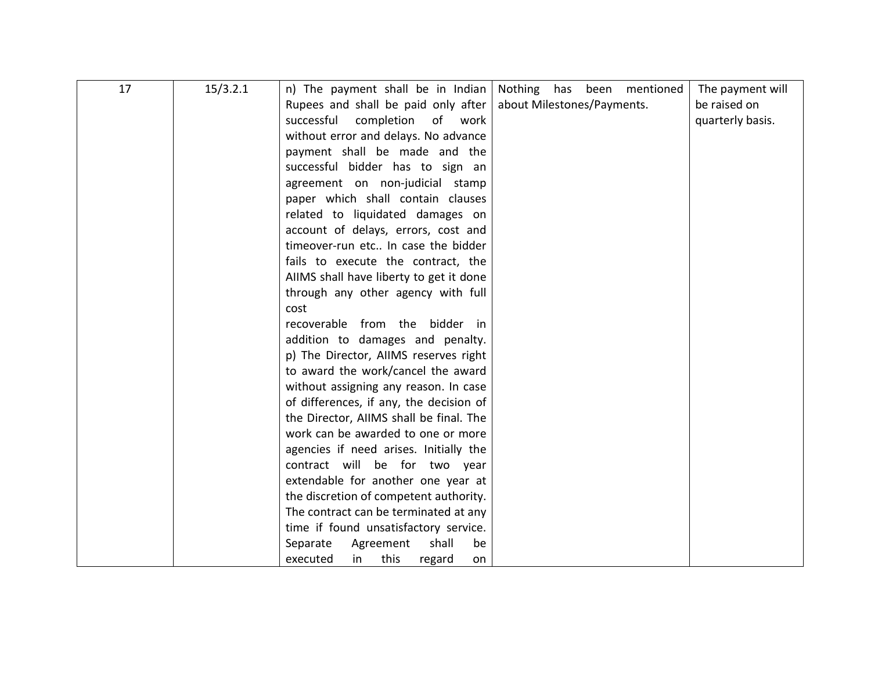| 17 | 15/3.2.1 | n) The payment shall be in Indian       | Nothing has been<br>mentioned | The payment will |
|----|----------|-----------------------------------------|-------------------------------|------------------|
|    |          | Rupees and shall be paid only after     | about Milestones/Payments.    | be raised on     |
|    |          | successful<br>completion<br>of<br>work  |                               | quarterly basis. |
|    |          | without error and delays. No advance    |                               |                  |
|    |          | payment shall be made and the           |                               |                  |
|    |          | successful bidder has to sign an        |                               |                  |
|    |          | agreement on non-judicial stamp         |                               |                  |
|    |          | paper which shall contain clauses       |                               |                  |
|    |          | related to liquidated damages on        |                               |                  |
|    |          | account of delays, errors, cost and     |                               |                  |
|    |          | timeover-run etc In case the bidder     |                               |                  |
|    |          | fails to execute the contract, the      |                               |                  |
|    |          | AIIMS shall have liberty to get it done |                               |                  |
|    |          | through any other agency with full      |                               |                  |
|    |          | cost                                    |                               |                  |
|    |          | recoverable from the bidder in          |                               |                  |
|    |          | addition to damages and penalty.        |                               |                  |
|    |          | p) The Director, AllMS reserves right   |                               |                  |
|    |          | to award the work/cancel the award      |                               |                  |
|    |          | without assigning any reason. In case   |                               |                  |
|    |          | of differences, if any, the decision of |                               |                  |
|    |          | the Director, AIIMS shall be final. The |                               |                  |
|    |          | work can be awarded to one or more      |                               |                  |
|    |          | agencies if need arises. Initially the  |                               |                  |
|    |          | contract will be for two year           |                               |                  |
|    |          | extendable for another one year at      |                               |                  |
|    |          | the discretion of competent authority.  |                               |                  |
|    |          | The contract can be terminated at any   |                               |                  |
|    |          | time if found unsatisfactory service.   |                               |                  |
|    |          | Separate<br>shall<br>Agreement<br>be    |                               |                  |
|    |          | executed<br>in<br>this<br>regard<br>on  |                               |                  |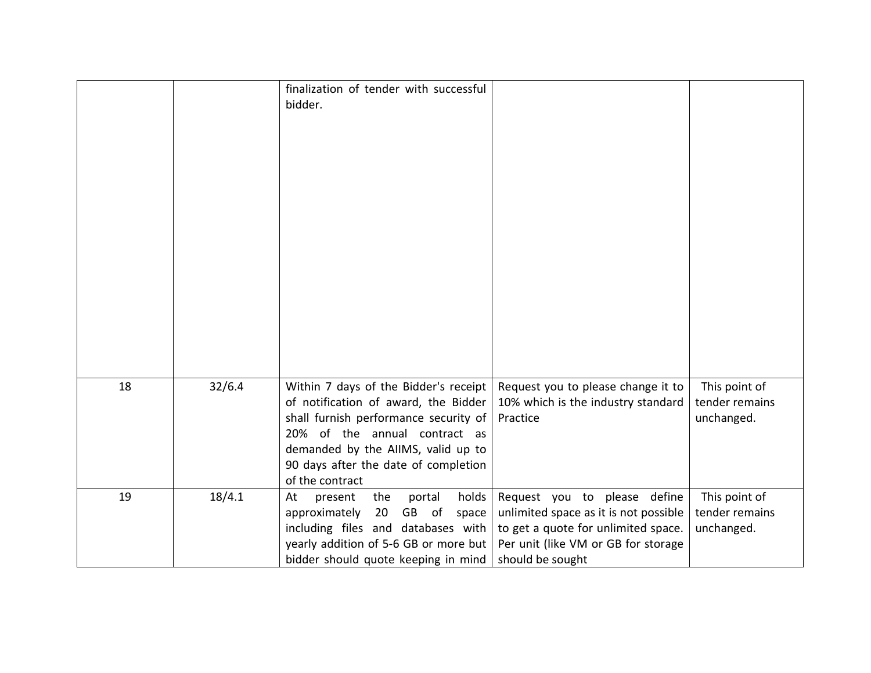|    |        | finalization of tender with successful<br>bidder.                                                                                                                                                                                                        |                                                                                                                                                                         |                                               |
|----|--------|----------------------------------------------------------------------------------------------------------------------------------------------------------------------------------------------------------------------------------------------------------|-------------------------------------------------------------------------------------------------------------------------------------------------------------------------|-----------------------------------------------|
| 18 | 32/6.4 | Within 7 days of the Bidder's receipt<br>of notification of award, the Bidder<br>shall furnish performance security of<br>20% of the annual contract as<br>demanded by the AIIMS, valid up to<br>90 days after the date of completion<br>of the contract | Request you to please change it to<br>10% which is the industry standard<br>Practice                                                                                    | This point of<br>tender remains<br>unchanged. |
| 19 | 18/4.1 | holds<br>the<br>At<br>portal<br>present<br>approximately<br>20<br>GB of<br>space<br>including files and databases with<br>yearly addition of 5-6 GB or more but<br>bidder should quote keeping in mind                                                   | Request you to please define<br>unlimited space as it is not possible<br>to get a quote for unlimited space.<br>Per unit (like VM or GB for storage<br>should be sought | This point of<br>tender remains<br>unchanged. |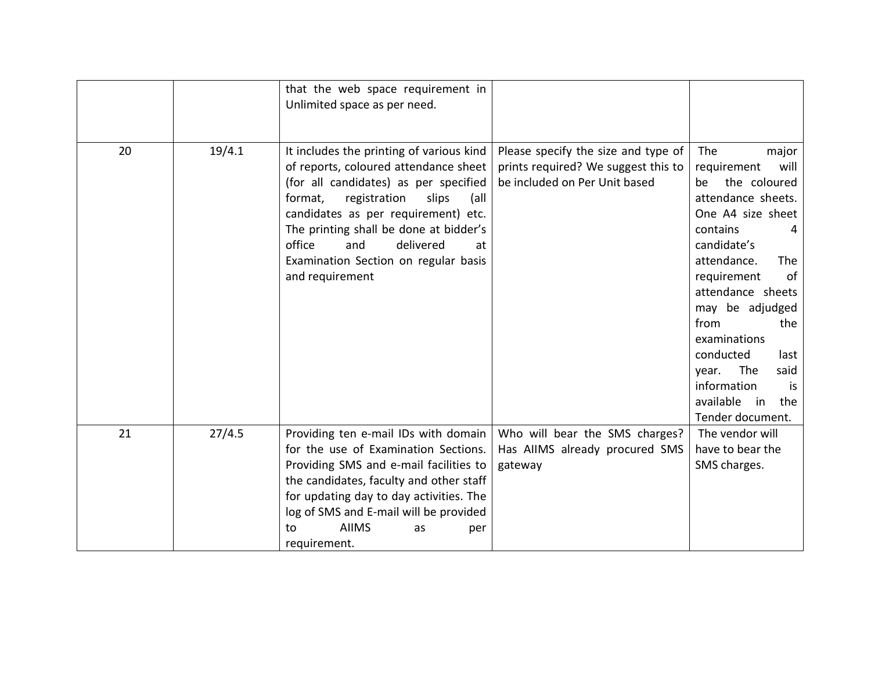|    |        | that the web space requirement in<br>Unlimited space as per need.                                                                                                                                                                                                                                                                                      |                                                                                                             |                                                                                                                                                                                                                                                                                                                                                                            |
|----|--------|--------------------------------------------------------------------------------------------------------------------------------------------------------------------------------------------------------------------------------------------------------------------------------------------------------------------------------------------------------|-------------------------------------------------------------------------------------------------------------|----------------------------------------------------------------------------------------------------------------------------------------------------------------------------------------------------------------------------------------------------------------------------------------------------------------------------------------------------------------------------|
| 20 | 19/4.1 | It includes the printing of various kind<br>of reports, coloured attendance sheet<br>(for all candidates) as per specified<br>format,<br>registration<br>slips<br>(all<br>candidates as per requirement) etc.<br>The printing shall be done at bidder's<br>office<br>and<br>delivered<br>at<br>Examination Section on regular basis<br>and requirement | Please specify the size and type of<br>prints required? We suggest this to<br>be included on Per Unit based | The<br>major<br>requirement<br>will<br>the coloured<br>be<br>attendance sheets.<br>One A4 size sheet<br>contains<br>4<br>candidate's<br>attendance.<br><b>The</b><br>of<br>requirement<br>attendance sheets<br>may be adjudged<br>from<br>the<br>examinations<br>conducted<br>last<br>The<br>said<br>year.<br>information<br>is<br>available in<br>the<br>Tender document. |
| 21 | 27/4.5 | Providing ten e-mail IDs with domain<br>for the use of Examination Sections.<br>Providing SMS and e-mail facilities to<br>the candidates, faculty and other staff<br>for updating day to day activities. The<br>log of SMS and E-mail will be provided<br><b>AIIMS</b><br>to<br>as<br>per<br>requirement.                                              | Who will bear the SMS charges?<br>Has AIIMS already procured SMS<br>gateway                                 | The vendor will<br>have to bear the<br>SMS charges.                                                                                                                                                                                                                                                                                                                        |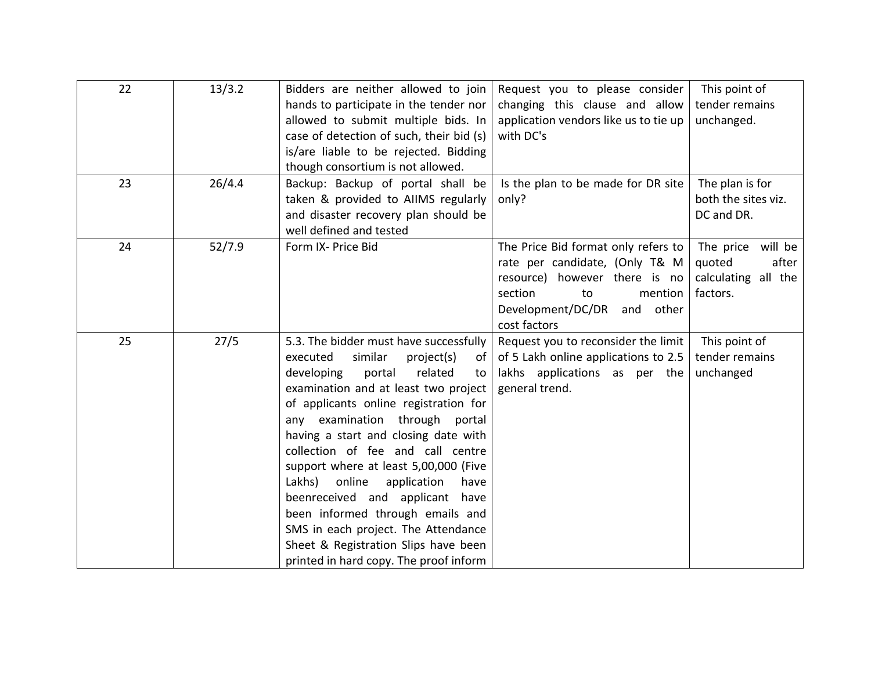| 22 | 13/3.2 | Bidders are neither allowed to join<br>hands to participate in the tender nor<br>allowed to submit multiple bids. In<br>case of detection of such, their bid (s)<br>is/are liable to be rejected. Bidding<br>though consortium is not allowed.                                                                                                                                                                                                                                                                                                                                                                    | Request you to please consider<br>changing this clause and allow<br>application vendors like us to tie up<br>with DC's                                                                 | This point of<br>tender remains<br>unchanged.                              |
|----|--------|-------------------------------------------------------------------------------------------------------------------------------------------------------------------------------------------------------------------------------------------------------------------------------------------------------------------------------------------------------------------------------------------------------------------------------------------------------------------------------------------------------------------------------------------------------------------------------------------------------------------|----------------------------------------------------------------------------------------------------------------------------------------------------------------------------------------|----------------------------------------------------------------------------|
| 23 | 26/4.4 | Backup: Backup of portal shall be<br>taken & provided to AIIMS regularly<br>and disaster recovery plan should be<br>well defined and tested                                                                                                                                                                                                                                                                                                                                                                                                                                                                       | Is the plan to be made for DR site<br>only?                                                                                                                                            | The plan is for<br>both the sites viz.<br>DC and DR.                       |
| 24 | 52/7.9 | Form IX- Price Bid                                                                                                                                                                                                                                                                                                                                                                                                                                                                                                                                                                                                | The Price Bid format only refers to<br>rate per candidate, (Only T& M<br>resource) however there is no<br>section<br>mention  <br>to<br>Development/DC/DR<br>and other<br>cost factors | will be<br>The price<br>quoted<br>after<br>calculating all the<br>factors. |
| 25 | 27/5   | 5.3. The bidder must have successfully<br>similar<br>executed<br>project(s)<br>0f<br>related<br>portal<br>developing<br>to<br>examination and at least two project<br>of applicants online registration for<br>any examination through<br>portal<br>having a start and closing date with<br>collection of fee and call centre<br>support where at least 5,00,000 (Five<br>online<br>application<br>Lakhs)<br>have<br>beenreceived and applicant have<br>been informed through emails and<br>SMS in each project. The Attendance<br>Sheet & Registration Slips have been<br>printed in hard copy. The proof inform | Request you to reconsider the limit<br>of 5 Lakh online applications to 2.5<br>lakhs applications as per the<br>general trend.                                                         | This point of<br>tender remains<br>unchanged                               |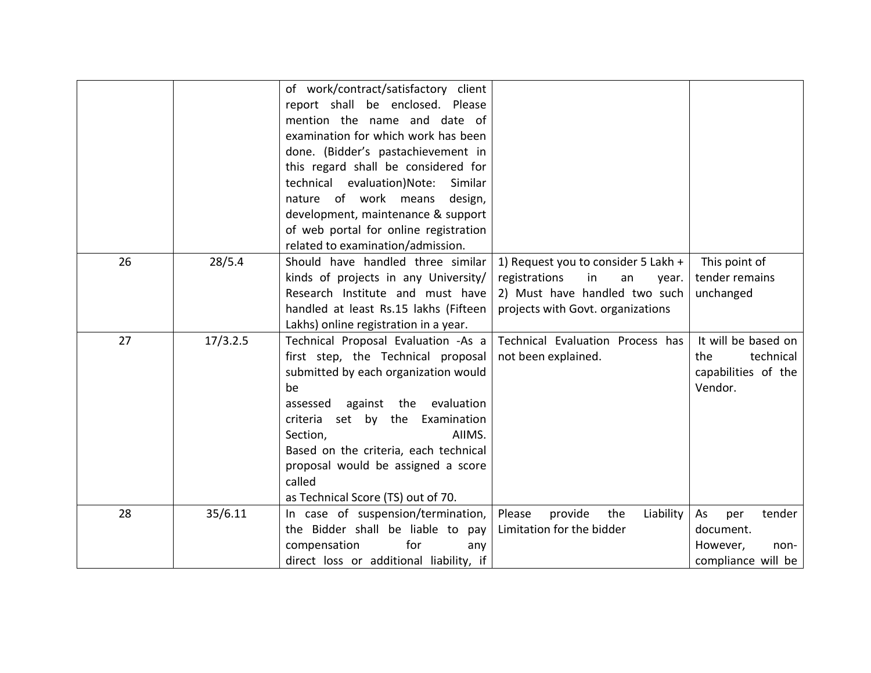|    |          | of work/contract/satisfactory client     |                                       |                     |
|----|----------|------------------------------------------|---------------------------------------|---------------------|
|    |          | report shall be enclosed. Please         |                                       |                     |
|    |          | mention the name and date of             |                                       |                     |
|    |          | examination for which work has been      |                                       |                     |
|    |          | done. (Bidder's pastachievement in       |                                       |                     |
|    |          | this regard shall be considered for      |                                       |                     |
|    |          | evaluation)Note:<br>technical<br>Similar |                                       |                     |
|    |          | nature of work means<br>design,          |                                       |                     |
|    |          | development, maintenance & support       |                                       |                     |
|    |          | of web portal for online registration    |                                       |                     |
|    |          | related to examination/admission.        |                                       |                     |
| 26 | 28/5.4   | Should have handled three similar        | 1) Request you to consider 5 Lakh +   | This point of       |
|    |          | kinds of projects in any University/     | registrations<br>in<br>an<br>year.    | tender remains      |
|    |          | Research Institute and must have         | 2) Must have handled two such         | unchanged           |
|    |          | handled at least Rs.15 lakhs (Fifteen    | projects with Govt. organizations     |                     |
|    |          | Lakhs) online registration in a year.    |                                       |                     |
| 27 | 17/3.2.5 | Technical Proposal Evaluation -As a      | Technical Evaluation Process has      | It will be based on |
|    |          | first step, the Technical proposal       | not been explained.                   | technical<br>the    |
|    |          | submitted by each organization would     |                                       | capabilities of the |
|    |          | be                                       |                                       | Vendor.             |
|    |          | evaluation<br>against<br>the<br>assessed |                                       |                     |
|    |          | set by the Examination<br>criteria       |                                       |                     |
|    |          | AIIMS.<br>Section,                       |                                       |                     |
|    |          | Based on the criteria, each technical    |                                       |                     |
|    |          | proposal would be assigned a score       |                                       |                     |
|    |          | called                                   |                                       |                     |
|    |          | as Technical Score (TS) out of 70.       |                                       |                     |
| 28 | 35/6.11  | In case of suspension/termination,       | Please<br>provide<br>the<br>Liability | As<br>per<br>tender |
|    |          | the Bidder shall be liable to pay        | Limitation for the bidder             | document.           |
|    |          | for<br>compensation<br>any               |                                       | However,<br>non-    |
|    |          | direct loss or additional liability, if  |                                       | compliance will be  |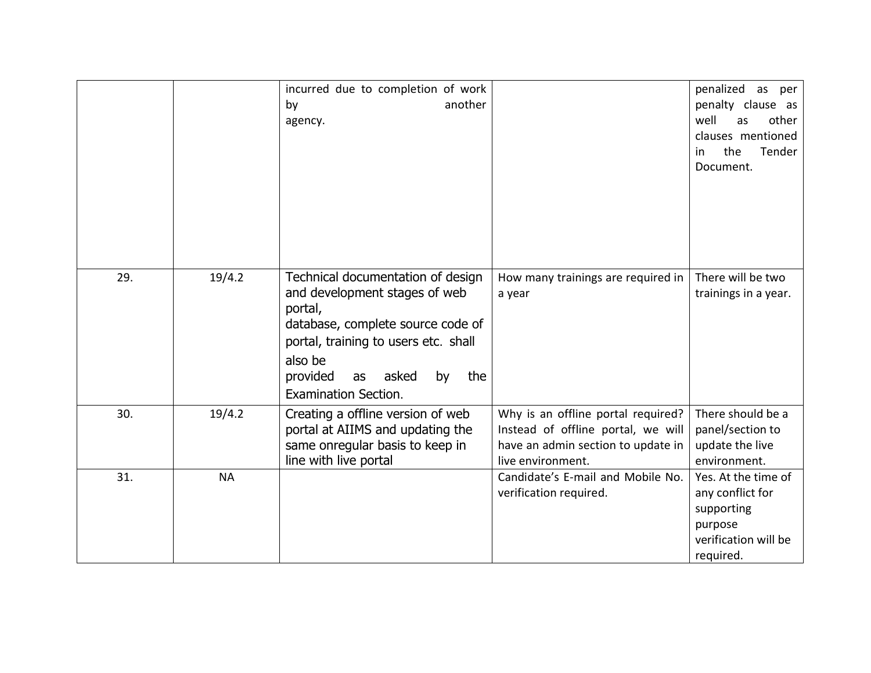|     |           | incurred due to completion of work<br>another<br>by<br>agency.                                                                                                                                                                               |                                                                                                                                     | penalized as per<br>penalty clause as<br>other<br>well<br>as<br>clauses mentioned<br>Tender<br>the<br>in.<br>Document. |
|-----|-----------|----------------------------------------------------------------------------------------------------------------------------------------------------------------------------------------------------------------------------------------------|-------------------------------------------------------------------------------------------------------------------------------------|------------------------------------------------------------------------------------------------------------------------|
| 29. | 19/4.2    | Technical documentation of design<br>and development stages of web<br>portal,<br>database, complete source code of<br>portal, training to users etc. shall<br>also be<br>provided<br>asked<br>by<br>the<br>as<br><b>Examination Section.</b> | How many trainings are required in<br>a year                                                                                        | There will be two<br>trainings in a year.                                                                              |
| 30. | 19/4.2    | Creating a offline version of web<br>portal at AIIMS and updating the<br>same onregular basis to keep in<br>line with live portal                                                                                                            | Why is an offline portal required?<br>Instead of offline portal, we will<br>have an admin section to update in<br>live environment. | There should be a<br>panel/section to<br>update the live<br>environment.                                               |
| 31. | <b>NA</b> |                                                                                                                                                                                                                                              | Candidate's E-mail and Mobile No.<br>verification required.                                                                         | Yes. At the time of<br>any conflict for<br>supporting<br>purpose<br>verification will be<br>required.                  |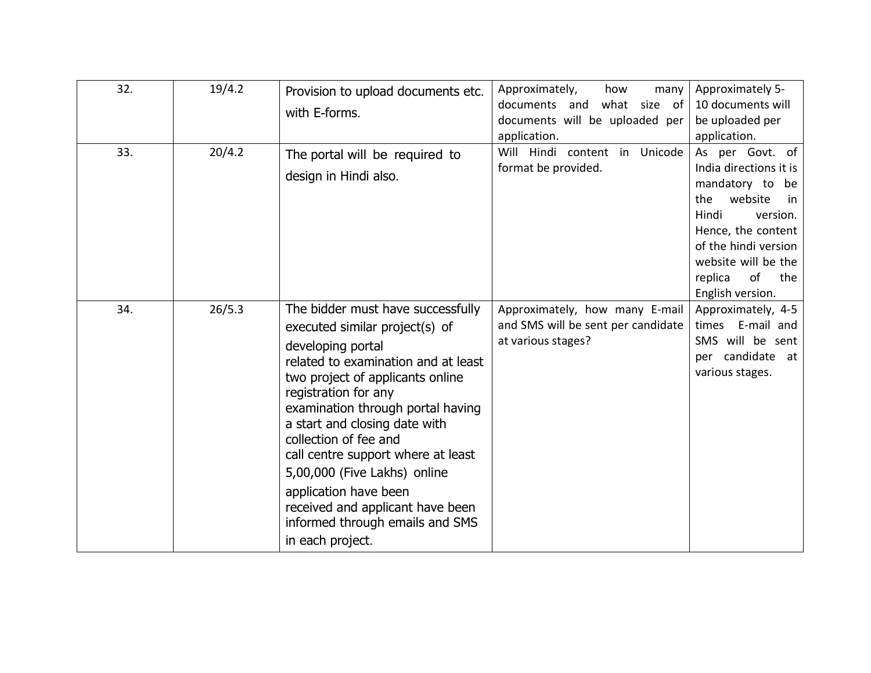| 32. | 19/4.2 | Provision to upload documents etc.<br>with E-forms.                                                                                                                                                                                                                                                                                                                                                                                                                                  | Approximately,<br>how<br>many<br>what size of<br>documents and<br>documents will be uploaded per<br>application. | Approximately 5-<br>10 documents will<br>be uploaded per<br>application.                                                                                                                                                   |
|-----|--------|--------------------------------------------------------------------------------------------------------------------------------------------------------------------------------------------------------------------------------------------------------------------------------------------------------------------------------------------------------------------------------------------------------------------------------------------------------------------------------------|------------------------------------------------------------------------------------------------------------------|----------------------------------------------------------------------------------------------------------------------------------------------------------------------------------------------------------------------------|
| 33. | 20/4.2 | The portal will be required to<br>design in Hindi also.                                                                                                                                                                                                                                                                                                                                                                                                                              | Will Hindi content in Unicode<br>format be provided.                                                             | As per Govt. of<br>India directions it is<br>mandatory to be<br>website<br>the<br>in<br>Hindi<br>version.<br>Hence, the content<br>of the hindi version<br>website will be the<br>of<br>replica<br>the<br>English version. |
| 34. | 26/5.3 | The bidder must have successfully<br>executed similar project(s) of<br>developing portal<br>related to examination and at least<br>two project of applicants online<br>registration for any<br>examination through portal having<br>a start and closing date with<br>collection of fee and<br>call centre support where at least<br>5,00,000 (Five Lakhs) online<br>application have been<br>received and applicant have been<br>informed through emails and SMS<br>in each project. | Approximately, how many E-mail<br>and SMS will be sent per candidate<br>at various stages?                       | Approximately, 4-5<br>times E-mail and<br>SMS will be sent<br>per candidate at<br>various stages.                                                                                                                          |